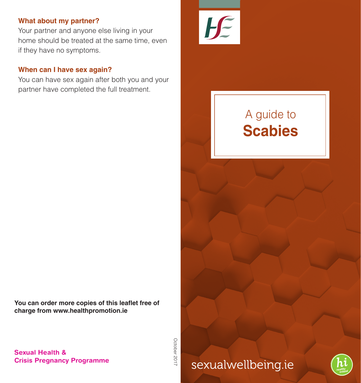# **What about my partner?**

Your partner and anyone else living in your home should be treated at the same time, even if they have no symptoms.

# **When can I have sex again?**

You can have sex again after both you and your partner have completed the full treatment.

**You can order more copies of this leaflet free of charge from www.healthpromotion.ie**

> October 2017 October 2017





# sexualwellbeing.ie